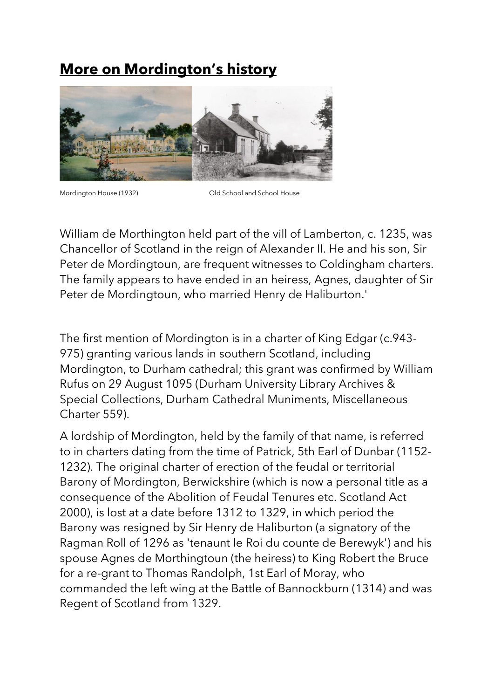## **More on Mordington's history**



Mordington House (1932) Old School and School House

William de Morthington held part of the vill of Lamberton, c. 1235, was Chancellor of Scotland in the reign of Alexander II. He and his son, Sir Peter de Mordingtoun, are frequent witnesses to Coldingham charters. The family appears to have ended in an heiress, Agnes, daughter of Sir Peter de Mordingtoun, who married Henry de Haliburton.'

The first mention of Mordington is in a charter of King Edgar (c.943- 975) granting various lands in southern Scotland, including Mordington, to Durham cathedral; this grant was confirmed by William Rufus on 29 August 1095 (Durham University Library Archives & Special Collections, Durham Cathedral Muniments, Miscellaneous Charter 559).

A lordship of Mordington, held by the family of that name, is referred to in charters dating from the time of Patrick, 5th Earl of Dunbar (1152- 1232). The original charter of erection of the feudal or territorial Barony of Mordington, Berwickshire (which is now a personal title as a consequence of the Abolition of Feudal Tenures etc. Scotland Act 2000), is lost at a date before 1312 to 1329, in which period the Barony was resigned by Sir Henry de Haliburton (a signatory of the Ragman Roll of 1296 as 'tenaunt le Roi du counte de Berewyk') and his spouse Agnes de Morthingtoun (the heiress) to King Robert the Bruce for a re-grant to Thomas Randolph, 1st Earl of Moray, who commanded the left wing at the Battle of Bannockburn (1314) and was Regent of Scotland from 1329.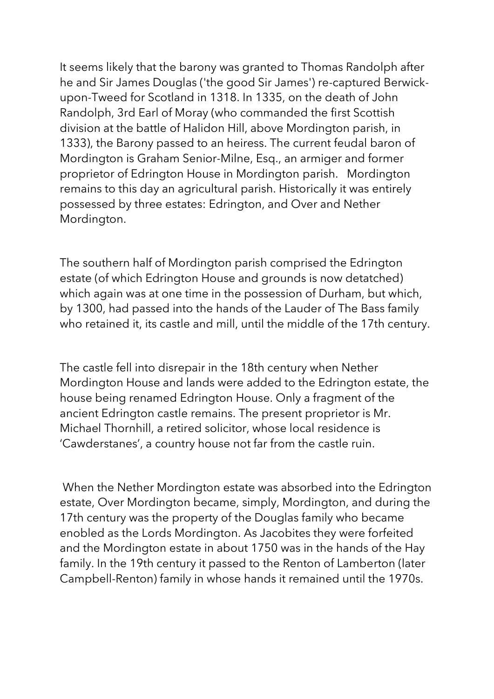It seems likely that the barony was granted to Thomas Randolph after he and Sir James Douglas ('the good Sir James') re-captured Berwickupon-Tweed for Scotland in 1318. In 1335, on the death of John Randolph, 3rd Earl of Moray (who commanded the first Scottish division at the battle of Halidon Hill, above Mordington parish, in 1333), the Barony passed to an heiress. The current feudal baron of Mordington is Graham Senior-Milne, Esq., an armiger and former proprietor of Edrington House in Mordington parish. Mordington remains to this day an agricultural parish. Historically it was entirely possessed by three estates: Edrington, and Over and Nether Mordington.

The southern half of Mordington parish comprised the Edrington estate (of which Edrington House and grounds is now detatched) which again was at one time in the possession of Durham, but which, by 1300, had passed into the hands of the Lauder of The Bass family who retained it, its castle and mill, until the middle of the 17th century.

The castle fell into disrepair in the 18th century when Nether Mordington House and lands were added to the Edrington estate, the house being renamed Edrington House. Only a fragment of the ancient Edrington castle remains. The present proprietor is Mr. Michael Thornhill, a retired solicitor, whose local residence is 'Cawderstanes', a country house not far from the castle ruin.

When the Nether Mordington estate was absorbed into the Edrington estate, Over Mordington became, simply, Mordington, and during the 17th century was the property of the Douglas family who became enobled as the Lords Mordington. As Jacobites they were forfeited and the Mordington estate in about 1750 was in the hands of the Hay family. In the 19th century it passed to the Renton of Lamberton (later Campbell-Renton) family in whose hands it remained until the 1970s.